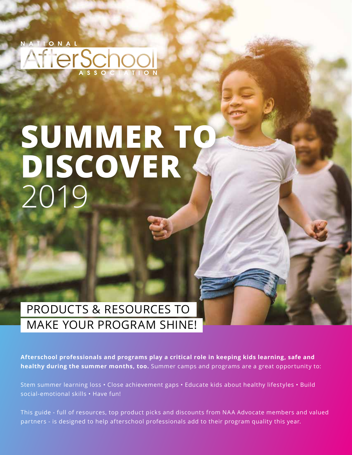ONAL AflerSchool

## **SUMMER TO DISCOVER**  2019

## PRODUCTS & RESOURCES TO MAKE YOUR PROGRAM SHINE!

**Afterschool professionals and programs play a critical role in keeping kids learning, safe and healthy during the summer months, too.** Summer camps and programs are a great opportunity to:

Stem summer learning loss • Close achievement gaps • Educate kids about healthy lifestyles • Build social-emotional skills • Have fun!

This guide - full of resources, top product picks and discounts from NAA Advocate members and valued partners - is designed to help afterschool professionals add to their program quality this year.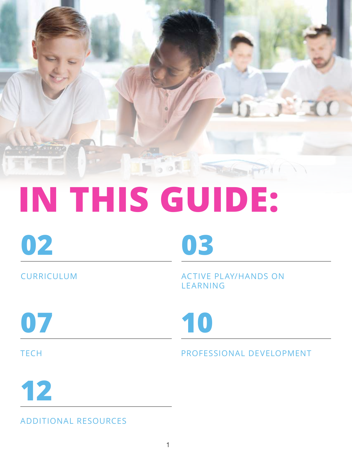

# **IN THIS GUIDE:**

**02 03**

CURRICULUM ACTIVE PLAY/HANDS ON LEARNING

**07 10**

## TECH PROFESSIONAL DEVELOPMENT

**12**

ADDITIONAL RESOURCES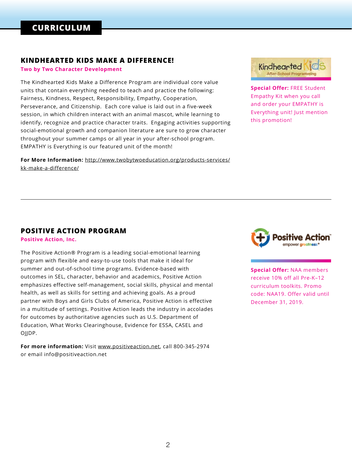#### **KINDHEARTED KIDS MAKE A DIFFERENCE!**

**Two by Two Character Development**

The Kindhearted Kids Make a Difference Program are individual core value units that contain everything needed to teach and practice the following: Fairness, Kindness, Respect, Responsibility, Empathy, Cooperation, Perseverance, and Citizenship. Each core value is laid out in a five-week session, in which children interact with an animal mascot, while learning to identify, recognize and practice character traits. Engaging activities supporting social-emotional growth and companion literature are sure to grow character throughout your summer camps or all year in your after-school program. EMPATHY is Everything is our featured unit of the month!

**For More Information:** http://www.twobytwoeducation.org/products-services/ kk-make-a-difference/



**Special Offer:** FREE Student Empathy Kit when you call and order your EMPATHY is Everything unit! Just mention this promotion!

#### **POSITIVE ACTION PROGRAM**

**Positive Action, Inc.**

The Positive Action® Program is a leading social-emotional learning program with flexible and easy-to-use tools that make it ideal for summer and out-of-school time programs. Evidence-based with outcomes in SEL, character, behavior and academics, Positive Action emphasizes effective self-management, social skills, physical and mental health, as well as skills for setting and achieving goals. As a proud partner with Boys and Girls Clubs of America, Positive Action is effective in a multitude of settings. Positive Action leads the industry in accolades for outcomes by authoritative agencies such as U.S. Department of Education, What Works Clearinghouse, Evidence for ESSA, CASEL and OIIDP.

**For more information:** Visit www.positiveaction.net, call 800-345-2974 or email info@positiveaction.net



**Special Offer:** NAA members receive 10% off all Pre-K–12 curriculum toolkits. Promo code: NAA19. Offer valid until December 31, 2019.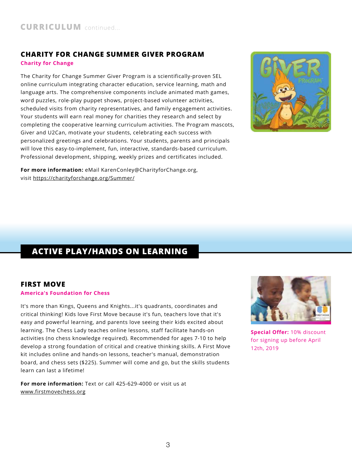#### **CHARITY FOR CHANGE SUMMER GIVER PROGRAM Charity for Change**

The Charity for Change Summer Giver Program is a scientifically-proven SEL online curriculum integrating character education, service learning, math and language arts. The comprehensive components include animated math games, word puzzles, role-play puppet shows, project-based volunteer activities, scheduled visits from charity representatives, and family engagement activities. Your students will earn real money for charities they research and select by completing the cooperative learning curriculum activities. The Program mascots, Giver and U2Can, motivate your students, celebrating each success with personalized greetings and celebrations. Your students, parents and principals will love this easy-to-implement, fun, interactive, standards-based curriculum. Professional development, shipping, weekly prizes and certificates included.

**For more information:** eMail KarenConley@CharityforChange.org, visit https://charityforchange.org/Summer/



## **ACTIVE PLAY/HANDS ON LEARNING**

#### **FIRST MOVE**

#### **America's Foundation for Chess**

It's more than Kings, Queens and Knights...it's quadrants, coordinates and critical thinking! Kids love First Move because it's fun, teachers love that it's easy and powerful learning, and parents love seeing their kids excited about learning. The Chess Lady teaches online lessons, staff facilitate hands-on activities (no chess knowledge required). Recommended for ages 7-10 to help develop a strong foundation of critical and creative thinking skills. A First Move kit includes online and hands-on lessons, teacher's manual, demonstration board, and chess sets (\$225). Summer will come and go, but the skills students learn can last a lifetime!

**For more information:** Text or call 425-629-4000 or visit us at www.firstmovechess.org



**Special Offer:** 10% discount for signing up before April 12th, 2019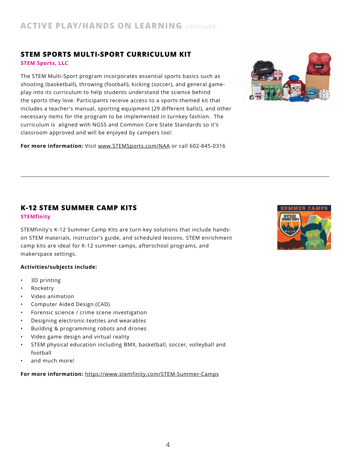## **STEM SPORTS MULTI-SPORT CURRICULUM KIT**

**STEM Sports, LLC**

The STEM Multi-Sport program incorporates essential sports basics such as shooting (basketball), throwing (football), kicking (soccer), and general gameplay into its curriculum to help students understand the science behind the sports they love. Participants receive access to a sports-themed kit that includes a teacher's manual, sporting equipment (29 different balls!), and other necessary items for the program to be implemented in turnkey fashion. The curriculum is aligned with NGSS and Common Core State Standards so it's classroom approved and will be enjoyed by campers too!

**For more information:** Visit www.STEMSports.com/NAA or call 602-845-0316



#### **K-12 STEM SUMMER CAMP KITS STEMfinity**

STEMfinity's K-12 Summer Camp Kits are turn-key solutions that include handson STEM materials, instructor's guide, and scheduled lessons. STEM enrichment camp kits are ideal for K-12 summer camps, afterschool programs, and makerspace settings.

#### **Activities/subjects include:**

- 3D printing
- Rocketry
- Video animation
- Computer Aided Design (CAD)
- Forensic science / crime scene investigation
- Designing electronic-textiles and wearables
- Building & programming robots and drones
- Video game design and virtual reality
- STEM physical education including BMX, basketball, soccer, volleyball and football
- and much more!

#### **For more information:** https://www.stemfinity.com/STEM-Summer-Camps

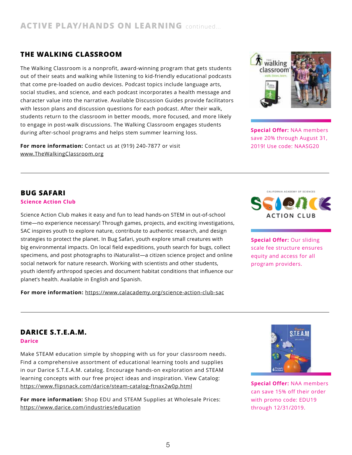#### **THE WALKING CLASSROOM**

The Walking Classroom is a nonprofit, award-winning program that gets students out of their seats and walking while listening to kid-friendly educational podcasts that come pre-loaded on audio devices. Podcast topics include language arts, social studies, and science, and each podcast incorporates a health message and character value into the narrative. Available Discussion Guides provide facilitators with lesson plans and discussion questions for each podcast. After their walk, students return to the classroom in better moods, more focused, and more likely to engage in post-walk discussions. The Walking Classroom engages students during after-school programs and helps stem summer learning loss.

**For more information:** Contact us at (919) 240-7877 or visit www.TheWalkingClassroom.org



**Special Offer:** NAA members save 20% through August 31, 2019! Use code: NAASG20

#### **BUG SAFARI**

#### **Science Action Club**

Science Action Club makes it easy and fun to lead hands-on STEM in out-of-school time—no experience necessary! Through games, projects, and exciting investigations, SAC inspires youth to explore nature, contribute to authentic research, and design strategies to protect the planet. In Bug Safari, youth explore small creatures with big environmental impacts. On local field expeditions, youth search for bugs, collect specimens, and post photographs to iNaturalist—a citizen science project and online social network for nature research. Working with scientists and other students, youth identify arthropod species and document habitat conditions that influence our planet's health. Available in English and Spanish.

**For more information:** https://www.calacademy.org/science-action-club-sac



**Special Offer:** Our sliding scale fee structure ensures equity and access for all program providers.

## **DARICE S.T.E.A.M.**

**Darice**

Make STEAM education simple by shopping with us for your classroom needs. Find a comprehensive assortment of educational learning tools and supplies in our Darice S.T.E.A.M. catalog. Encourage hands-on exploration and STEAM learning concepts with our free project ideas and inspiration. View Catalog: https://www.flipsnack.com/darice/steam-catalog-ftnax2w0p.html

**For more information:** Shop EDU and STEAM Supplies at Wholesale Prices: https://www.darice.com/industries/education



**Special Offer:** NAA members can save 15% off their order with promo code: EDU19 through 12/31/2019.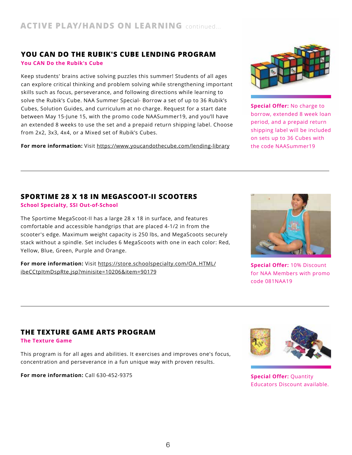## **YOU CAN DO THE RUBIK'S CUBE LENDING PROGRAM**

**You CAN Do the Rubik's Cube**

Keep students' brains active solving puzzles this summer! Students of all ages can explore critical thinking and problem solving while strengthening important skills such as focus, perseverance, and following directions while learning to solve the Rubik's Cube. NAA Summer Special- Borrow a set of up to 36 Rubik's Cubes, Solution Guides, and curriculum at no charge. Request for a start date between May 15-June 15, with the promo code NAASummer19, and you'll have an extended 8 weeks to use the set and a prepaid return shipping label. Choose from 2x2, 3x3, 4x4, or a Mixed set of Rubik's Cubes.

**For more information:** Visit https://www.youcandothecube.com/lending-library



**Special Offer:** No charge to borrow, extended 8 week loan period, and a prepaid return shipping label will be included on sets up to 36 Cubes with the code NAASummer19

#### **SPORTIME 28 X 18 IN MEGASCOOT-II SCOOTERS**

**School Specialty, SSI Out-of-School**

The Sportime MegaScoot-II has a large 28 x 18 in surface, and features comfortable and accessible handgrips that are placed 4-1/2 in from the scooter's edge. Maximum weight capacity is 250 lbs, and MegaScoots securely stack without a spindle. Set includes 6 MegaScoots with one in each color: Red, Yellow, Blue, Green, Purple and Orange.

**For more information:** Visit https://store.schoolspecialty.com/OA\_HTML/ ibeCCtpItmDspRte.jsp?minisite=10206&item=90179



**Special Offer:** 10% Discount for NAA Members with promo code 081NAA19

#### **THE TEXTURE GAME ARTS PROGRAM**

**The Texture Game**

This program is for all ages and abilities. It exercises and improves one's focus, concentration and perseverance in a fun unique way with proven results.

**For more information:** Call 630-452-9375 **Special Offer:** Quantity



Educators Discount available.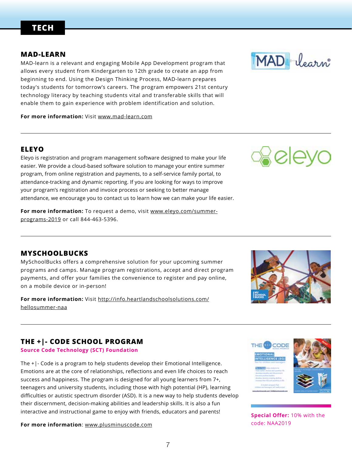## **TECH**

#### **MAD-LEARN**

MAD-learn is a relevant and engaging Mobile App Development program that allows every student from Kindergarten to 12th grade to create an app from beginning to end. Using the Design Thinking Process, MAD-learn prepares today's students for tomorrow's careers. The program empowers 21st century technology literacy by teaching students vital and transferable skills that will enable them to gain experience with problem identification and solution.

**For more information:** Visit www.mad-learn.com

#### **ELEYO**

Eleyo is registration and program management software designed to make your life easier. We provide a cloud-based software solution to manage your entire summer program, from online registration and payments, to a self-service family portal, to attendance-tracking and dynamic reporting. If you are looking for ways to improve your program's registration and invoice process or seeking to better manage attendance, we encourage you to contact us to learn how we can make your life easier.

For more information: To request a demo, visit www.eleyo.com/summerprograms-2019 or call 844-463-5396.

#### **MYSCHOOLBUCKS**

MySchoolBucks offers a comprehensive solution for your upcoming summer programs and camps. Manage program registrations, accept and direct program payments, and offer your families the convenience to register and pay online, on a mobile device or in-person!

**For more information:** Visit http://info.heartlandschoolsolutions.com/ hellosummer-naa

## **THE +|- CODE SCHOOL PROGRAM**

#### **Source Code Technology (SCT) Foundation**

The +|- Code is a program to help students develop their Emotional Intelligence. Emotions are at the core of relationships, reflections and even life choices to reach success and happiness. The program is designed for all young learners from 7+, teenagers and university students, including those with high potential (HP), learning difficulties or autistic spectrum disorder (ASD). It is a new way to help students develop their discernment, decision-making abilities and leadership skills. It is also a fun interactive and instructional game to enjoy with friends, educators and parents!

**For more information**: www.plusminuscode.com







**Special Offer:** 10% with the code: NAA2019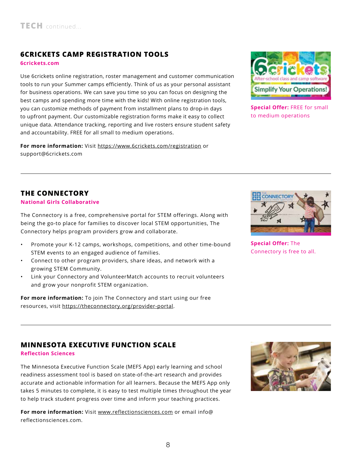## **6CRICKETS CAMP REGISTRATION TOOLS**

#### **6crickets.com**

Use 6crickets online registration, roster management and customer communication tools to run your Summer camps efficiently. Think of us as your personal assistant for business operations. We can save you time so you can focus on designing the best camps and spending more time with the kids! With online registration tools, you can customize methods of payment from installment plans to drop-in days to upfront payment. Our customizable registration forms make it easy to collect unique data. Attendance tracking, reporting and live rosters ensure student safety and accountability. FREE for all small to medium operations.

**For more information:** Visit https://www.6crickets.com/registration or support@6crickets.com



**Special Offer:** FREE for small to medium operations

#### **THE CONNECTORY**

#### **National Girls Collaborative**

The Connectory is a free, comprehensive portal for STEM offerings. Along with being the go-to place for families to discover local STEM opportunities, The Connectory helps program providers grow and collaborate.

- Promote your K-12 camps, workshops, competitions, and other time-bound STEM events to an engaged audience of families.
- Connect to other program providers, share ideas, and network with a growing STEM Community.
- Link your Connectory and VolunteerMatch accounts to recruit volunteers and grow your nonprofit STEM organization.

**For more information:** To join The Connectory and start using our free resources, visit https://theconnectory.org/provider-portal.



**Special Offer:** The Connectory is free to all.

#### **MINNESOTA EXECUTIVE FUNCTION SCALE**

#### **Reflection Sciences**

The Minnesota Executive Function Scale (MEFS App) early learning and school readiness assessment tool is based on state-of-the-art research and provides accurate and actionable information for all learners. Because the MEFS App only takes 5 minutes to complete, it is easy to test multiple times throughout the year to help track student progress over time and inform your teaching practices.

**For more information:** Visit www.reflectionsciences.com or email info@ reflectionsciences.com.

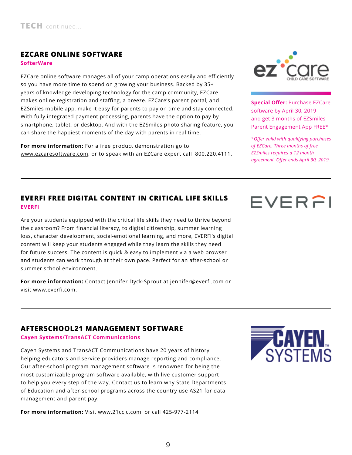#### **EZCARE ONLINE SOFTWARE**

**SofterWare**

EZCare online software manages all of your camp operations easily and efficiently so you have more time to spend on growing your business. Backed by 35+ years of knowledge developing technology for the camp community, EZCare makes online registration and staffing, a breeze. EZCare's parent portal, and EZSmiles mobile app, make it easy for parents to pay on time and stay connected. With fully integrated payment processing, parents have the option to pay by smartphone, tablet, or desktop. And with the EZSmiles photo sharing feature, you can share the happiest moments of the day with parents in real time.

**For more information:** For a free product demonstration go to www.ezcaresoftware.com, or to speak with an EZCare expert call 800.220.4111.



**Special Offer:** Purchase EZCare software by April 30, 2019 and get 3 months of EZSmiles Parent Engagement App FREE\*

*\*Offer valid with qualifying purchases of EZCare. Three months of free EZSmiles requires a 12 month agreement. Offer ends April 30, 2019.*

#### **EVERFI FREE DIGITAL CONTENT IN CRITICAL LIFE SKILLS EVERFI**

Are your students equipped with the critical life skills they need to thrive beyond the classroom? From financial literacy, to digital citizenship, summer learning loss, character development, social-emotional learning, and more, EVERFI's digital content will keep your students engaged while they learn the skills they need for future success. The content is quick & easy to implement via a web browser and students can work through at their own pace. Perfect for an after-school or summer school environment.

**For more information:** Contact Jennifer Dyck-Sprout at jennifer@everfi.com or visit www.everfi.com.



#### **AFTERSCHOOL21 MANAGEMENT SOFTWARE**

**Cayen Systems/TransACT Communications**

Cayen Systems and TransACT Communications have 20 years of history helping educators and service providers manage reporting and compliance. Our after-school program management software is renowned for being the most customizable program software available, with live customer support to help you every step of the way. Contact us to learn why State Departments of Education and after-school programs across the country use AS21 for data management and parent pay.

**For more information:** Visit www.21cclc.com or call 425-977-2114

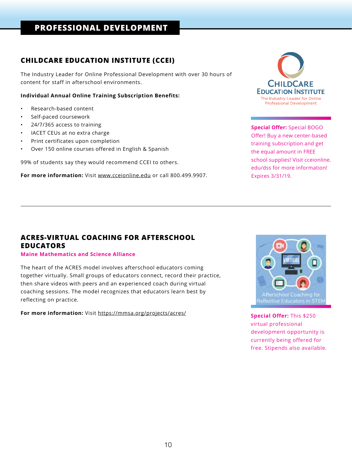## **PROFESSIONAL DEVELOPMENT**

#### **CHILDCARE EDUCATION INSTITUTE (CCEI)**

The Industry Leader for Online Professional Development with over 30 hours of content for staff in afterschool environments.

#### **Individual Annual Online Training Subscription Benefits:**

- Research-based content
- Self-paced coursework
- 24/7/365 access to training
- IACET CEUs at no extra charge
- Print certificates upon completion
- Over 150 online courses offered in English & Spanish

99% of students say they would recommend CCEI to others.

**For more information:** Visit www.cceionline.edu or call 800.499.9907.



**Special Offer:** Special BOGO Offer! Buy a new center-based training subscription and get the equal amount in FREE school supplies! Visit cceionline. edu/dss for more information! Expires 3/31/19.

#### **ACRES-VIRTUAL COACHING FOR AFTERSCHOOL EDUCATORS**

#### **Maine Mathematics and Science Alliance**

The heart of the ACRES model involves afterschool educators coming together virtually. Small groups of educators connect, record their practice, then share videos with peers and an experienced coach during virtual coaching sessions. The model recognizes that educators learn best by reflecting on practice.

**For more information:** Visit https://mmsa.org/projects/acres/ **Special Offer:** This \$250



virtual professional development opportunity is currently being offered for free. Stipends also available.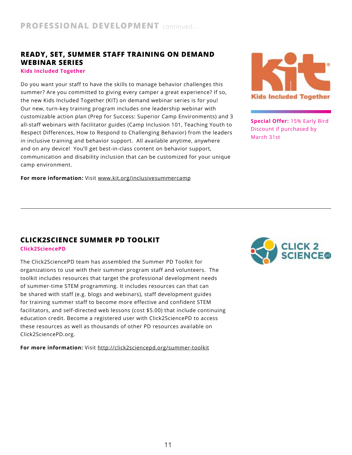#### **READY, SET, SUMMER STAFF TRAINING ON DEMAND WEBINAR SERIES**

#### **Kids Included Together**

Do you want your staff to have the skills to manage behavior challenges this summer? Are you committed to giving every camper a great experience? If so, the new Kids Included Together (KIT) on demand webinar series is for you! Our new, turn-key training program includes one leadership webinar with customizable action plan (Prep for Success: Superior Camp Environments) and 3 all-staff webinars with facilitator guides (Camp Inclusion 101, Teaching Youth to Respect Differences, How to Respond to Challenging Behavior) from the leaders in inclusive training and behavior support. All available anytime, anywhere and on any device! You'll get best-in-class content on behavior support, communication and disability inclusion that can be customized for your unique camp environment.

**For more information:** Visit www.kit.org/inclusivesummercamp



**Special Offer:** 15% Early Bird Discount if purchased by March 31st

#### **CLICK2SCIENCE SUMMER PD TOOLKIT**

**Click2SciencePD**

The Click2SciencePD team has assembled the Summer PD Toolkit for organizations to use with their summer program staff and volunteers. The toolkit includes resources that target the professional development needs of summer-time STEM programming. It includes resources can that can be shared with staff (e.g. blogs and webinars), staff development guides for training summer staff to become more effective and confident STEM facilitators, and self-directed web lessons (cost \$5.00) that include continuing education credit. Become a registered user with Click2SciencePD to access these resources as well as thousands of other PD resources available on Click2SciencePD.org.

**For more information:** Visit http://click2sciencepd.org/summer-toolkit

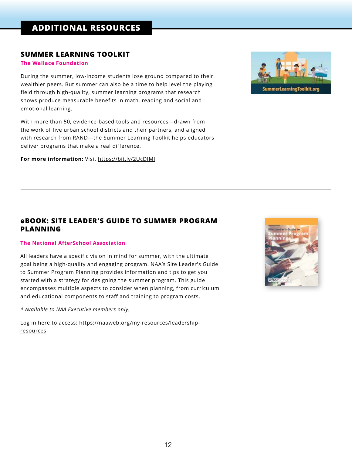#### **SUMMER LEARNING TOOLKIT**

#### **The Wallace Foundation**

During the summer, low-income students lose ground compared to their wealthier peers. But summer can also be a time to help level the playing field through high-quality, summer learning programs that research shows produce measurable benefits in math, reading and social and emotional learning.

With more than 50, evidence-based tools and resources—drawn from the work of five urban school districts and their partners, and aligned with research from RAND—the Summer Learning Toolkit helps educators deliver programs that make a real difference.

**For more information:** Visit https://bit.ly/2UcDIMJ



#### **eBOOK: SITE LEADER'S GUIDE TO SUMMER PROGRAM PLANNING**

#### **The National AfterSchool Association**

All leaders have a specific vision in mind for summer, with the ultimate goal being a high-quality and engaging program. NAA's Site Leader's Guide to Summer Program Planning provides information and tips to get you started with a strategy for designing the summer program. This guide encompasses multiple aspects to consider when planning, from curriculum and educational components to staff and training to program costs.

*\* Available to NAA Executive members only.* 

Log in here to access: https://naaweb.org/my-resources/leadershipresources

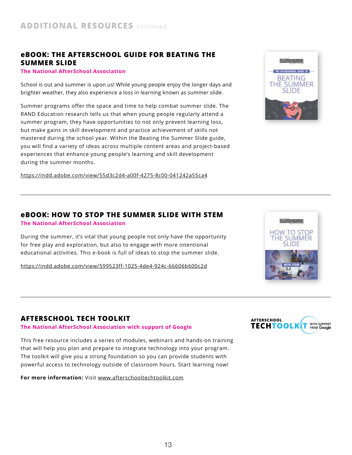#### **eBOOK: THE AFTERSCHOOL GUIDE FOR BEATING THE SUMMER SLIDE**

#### **The National AfterSchool Association**

School is out and summer is upon us! While young people enjoy the longer days and brighter weather, they also experience a loss in learning known as summer slide.

Summer programs offer the space and time to help combat summer slide. The RAND Education research tells us that when young people regularly attend a summer program, they have opportunities to not only prevent learning loss, but make gains in skill development and practice achievement of skills not mastered during the school year. Within the Beating the Summer Slide guide, you will find a variety of ideas across multiple content areas and project-based experiences that enhance young people's learning and skill development during the summer months.

https://indd.adobe.com/view/55d3c2d4-a00f-4275-8c00-041242a55ca4



#### **eBOOK: HOW TO STOP THE SUMMER SLIDE WITH STEM**

#### **The National AfterSchool Association**

During the summer, it's vital that young people not only have the opportunity for free play and exploration, but also to engage with more intentional educational activities. This e-book is full of ideas to stop the summer slide.

https://indd.adobe.com/view/599523ff-1025-4de4-924c-66606b600c2d

#### **AFTERSCHOOL TECH TOOLKIT**

#### **The National AfterSchool Association with support of Google**

This free resource includes a series of modules, webinars and hands-on training that will help you plan and prepare to integrate technology into your program. The toolkit will give you a strong foundation so you can provide students with powerful access to technology outside of classroom hours. Start learning now!

**For more information:** Visit www.afterschooltechtoolkit.com